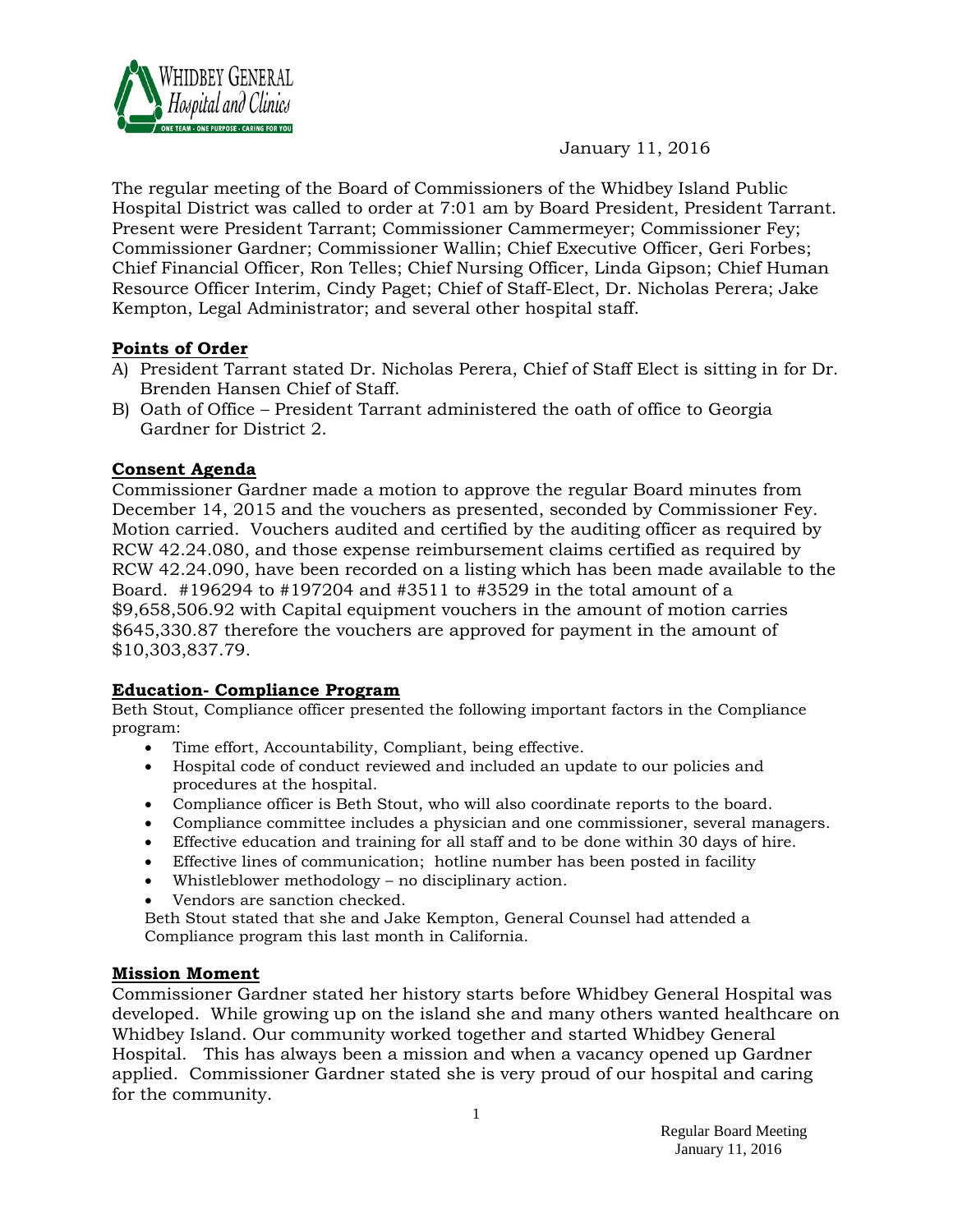

## January 11, 2016

The regular meeting of the Board of Commissioners of the Whidbey Island Public Hospital District was called to order at 7:01 am by Board President, President Tarrant. Present were President Tarrant; Commissioner Cammermeyer; Commissioner Fey; Commissioner Gardner; Commissioner Wallin; Chief Executive Officer, Geri Forbes; Chief Financial Officer, Ron Telles; Chief Nursing Officer, Linda Gipson; Chief Human Resource Officer Interim, Cindy Paget; Chief of Staff-Elect, Dr. Nicholas Perera; Jake Kempton, Legal Administrator; and several other hospital staff.

### **Points of Order**

- A) President Tarrant stated Dr. Nicholas Perera, Chief of Staff Elect is sitting in for Dr. Brenden Hansen Chief of Staff.
- B) Oath of Office President Tarrant administered the oath of office to Georgia Gardner for District 2.

#### **Consent Agenda**

Commissioner Gardner made a motion to approve the regular Board minutes from December 14, 2015 and the vouchers as presented, seconded by Commissioner Fey. Motion carried. Vouchers audited and certified by the auditing officer as required by RCW 42.24.080, and those expense reimbursement claims certified as required by RCW 42.24.090, have been recorded on a listing which has been made available to the Board. #196294 to #197204 and #3511 to #3529 in the total amount of a \$9,658,506.92 with Capital equipment vouchers in the amount of motion carries \$645,330.87 therefore the vouchers are approved for payment in the amount of \$10,303,837.79.

#### **Education- Compliance Program**

Beth Stout, Compliance officer presented the following important factors in the Compliance program:

- Time effort, Accountability, Compliant, being effective.
- Hospital code of conduct reviewed and included an update to our policies and procedures at the hospital.
- Compliance officer is Beth Stout, who will also coordinate reports to the board.
- Compliance committee includes a physician and one commissioner, several managers.
- Effective education and training for all staff and to be done within 30 days of hire.
- Effective lines of communication; hotline number has been posted in facility
- Whistleblower methodology no disciplinary action.
- Vendors are sanction checked.

Beth Stout stated that she and Jake Kempton, General Counsel had attended a Compliance program this last month in California.

#### **Mission Moment**

Commissioner Gardner stated her history starts before Whidbey General Hospital was developed. While growing up on the island she and many others wanted healthcare on Whidbey Island. Our community worked together and started Whidbey General Hospital. This has always been a mission and when a vacancy opened up Gardner applied. Commissioner Gardner stated she is very proud of our hospital and caring for the community.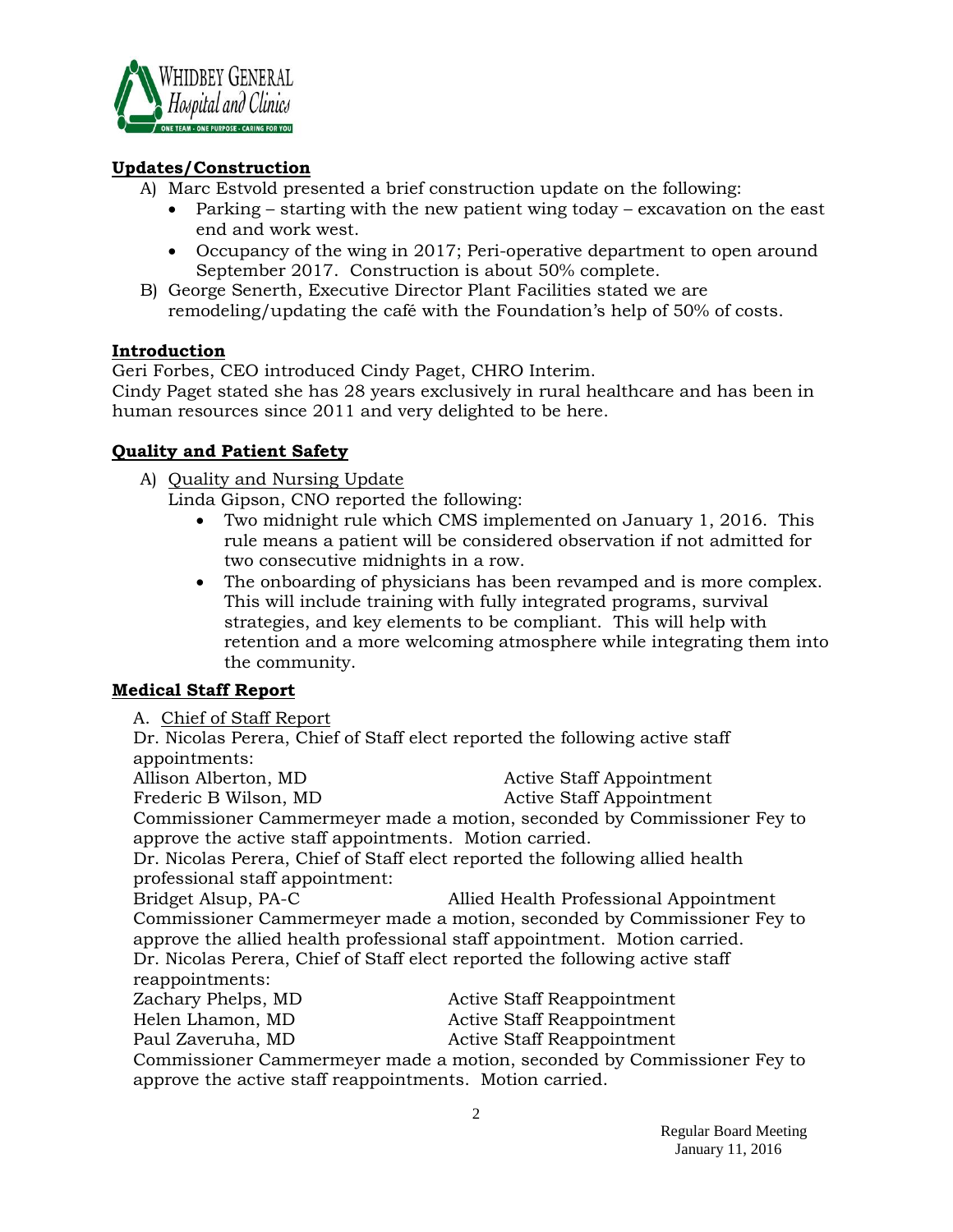

### **Updates/Construction**

- A) Marc Estvold presented a brief construction update on the following:
	- Parking starting with the new patient wing today excavation on the east end and work west.
	- Occupancy of the wing in 2017; Peri-operative department to open around September 2017. Construction is about 50% complete.
- B) George Senerth, Executive Director Plant Facilities stated we are remodeling/updating the café with the Foundation's help of 50% of costs.

### **Introduction**

Geri Forbes, CEO introduced Cindy Paget, CHRO Interim.

Cindy Paget stated she has 28 years exclusively in rural healthcare and has been in human resources since 2011 and very delighted to be here.

### **Quality and Patient Safety**

A) Quality and Nursing Update

Linda Gipson, CNO reported the following:

- Two midnight rule which CMS implemented on January 1, 2016. This rule means a patient will be considered observation if not admitted for two consecutive midnights in a row.
- The onboarding of physicians has been revamped and is more complex. This will include training with fully integrated programs, survival strategies, and key elements to be compliant. This will help with retention and a more welcoming atmosphere while integrating them into the community.

# **Medical Staff Report**

A. Chief of Staff Report

Dr. Nicolas Perera, Chief of Staff elect reported the following active staff appointments:

Allison Alberton, MD Active Staff Appointment

Frederic B Wilson, MD Active Staff Appointment

Commissioner Cammermeyer made a motion, seconded by Commissioner Fey to approve the active staff appointments. Motion carried.

Dr. Nicolas Perera, Chief of Staff elect reported the following allied health professional staff appointment:

Bridget Alsup, PA-C Allied Health Professional Appointment Commissioner Cammermeyer made a motion, seconded by Commissioner Fey to approve the allied health professional staff appointment. Motion carried. Dr. Nicolas Perera, Chief of Staff elect reported the following active staff reappointments:

| Zachary Phelps, MD                                                      | Active Staff Reappointment |
|-------------------------------------------------------------------------|----------------------------|
| Helen Lhamon, MD                                                        | Active Staff Reappointment |
| Paul Zaveruha, MD                                                       | Active Staff Reappointment |
| Commissioner Cammermeyer made a motion, seconded by Commissioner Fey to |                            |
| approve the active staff reappointments. Motion carried.                |                            |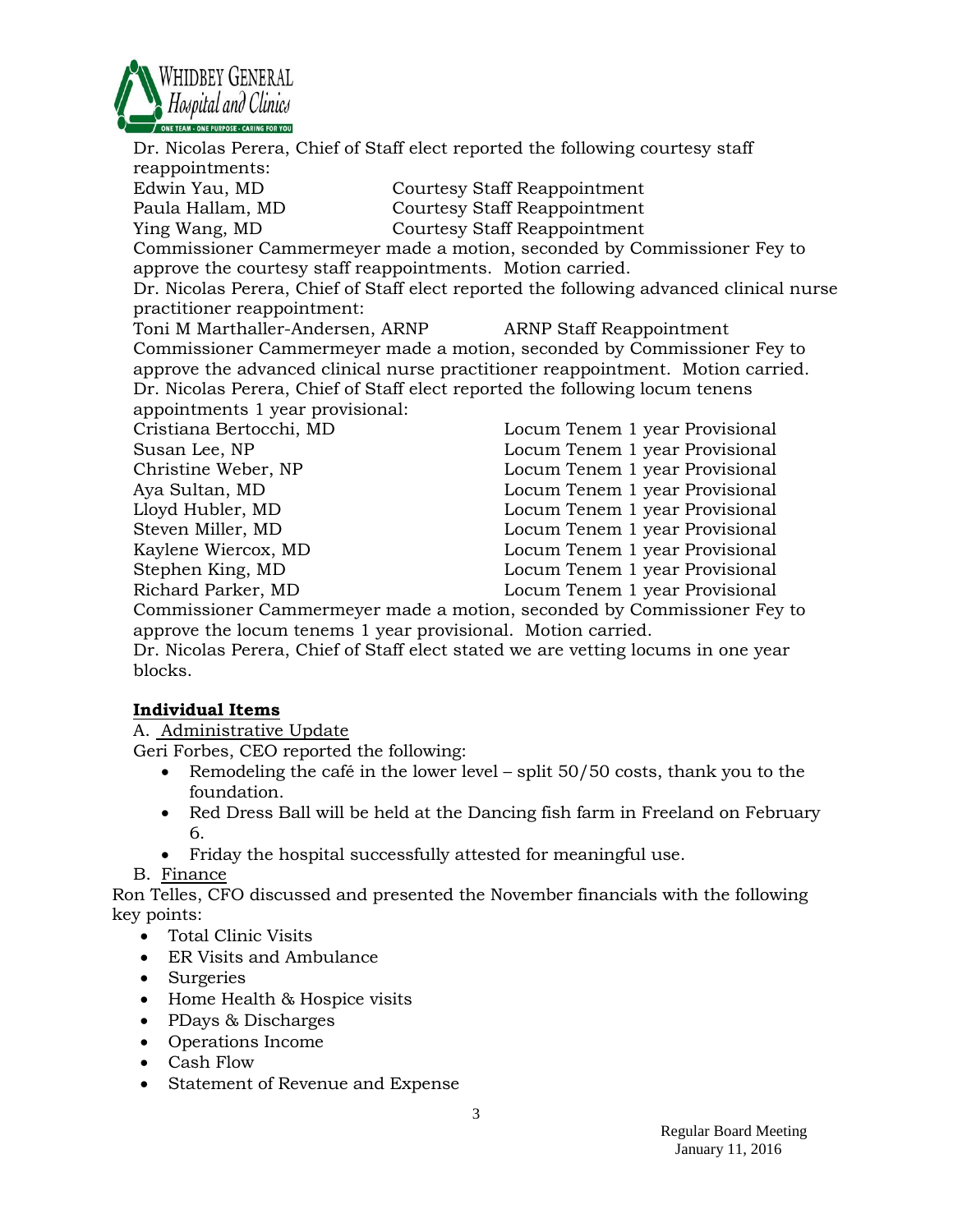

Dr. Nicolas Perera, Chief of Staff elect reported the following courtesy staff reappointments: Edwin Yau, MD Courtesy Staff Reappointment Paula Hallam, MD Courtesy Staff Reappointment Ying Wang, MD Courtesy Staff Reappointment Commissioner Cammermeyer made a motion, seconded by Commissioner Fey to approve the courtesy staff reappointments. Motion carried. Dr. Nicolas Perera, Chief of Staff elect reported the following advanced clinical nurse practitioner reappointment: Toni M Marthaller-Andersen, ARNP ARNP Staff Reappointment Commissioner Cammermeyer made a motion, seconded by Commissioner Fey to approve the advanced clinical nurse practitioner reappointment. Motion carried. Dr. Nicolas Perera, Chief of Staff elect reported the following locum tenens appointments 1 year provisional: Cristiana Bertocchi, MD Locum Tenem 1 year Provisional Susan Lee, NP **Locum Tenem 1 year Provisional** Christine Weber, NP Locum Tenem 1 year Provisional Aya Sultan, MD Locum Tenem 1 year Provisional Lloyd Hubler, MD Locum Tenem 1 year Provisional Steven Miller, MD Locum Tenem 1 year Provisional Kaylene Wiercox, MD Locum Tenem 1 year Provisional Stephen King, MD Locum Tenem 1 year Provisional Richard Parker, MD Locum Tenem 1 year Provisional Commissioner Cammermeyer made a motion, seconded by Commissioner Fey to

approve the locum tenems 1 year provisional. Motion carried.

Dr. Nicolas Perera, Chief of Staff elect stated we are vetting locums in one year blocks.

### **Individual Items**

A. Administrative Update

Geri Forbes, CEO reported the following:

- Remodeling the café in the lower level split 50/50 costs, thank you to the foundation.
- Red Dress Ball will be held at the Dancing fish farm in Freeland on February 6.
- Friday the hospital successfully attested for meaningful use.
- B. Finance

Ron Telles, CFO discussed and presented the November financials with the following key points:

- Total Clinic Visits
- ER Visits and Ambulance
- Surgeries
- Home Health & Hospice visits
- PDays & Discharges
- Operations Income
- Cash Flow
- Statement of Revenue and Expense